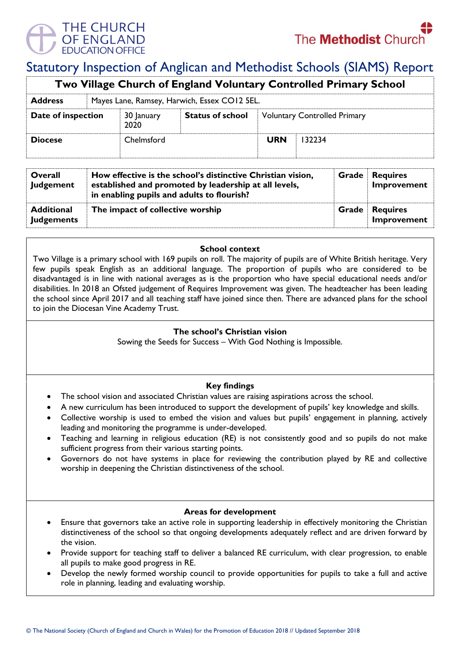

# Statutory Inspection of Anglican and Methodist Schools (SIAMS) Report

| Two Village Church of England Voluntary Controlled Primary School |  |                                              |                         |                                     |        |  |  |
|-------------------------------------------------------------------|--|----------------------------------------------|-------------------------|-------------------------------------|--------|--|--|
| <b>Address</b>                                                    |  | Mayes Lane, Ramsey, Harwich, Essex CO12 5EL. |                         |                                     |        |  |  |
| Date of inspection                                                |  | 30 January<br>2020                           | <b>Status of school</b> | <b>Voluntary Controlled Primary</b> |        |  |  |
| <b>Diocese</b>                                                    |  | Chelmsford                                   |                         | <b>URN</b>                          | 132234 |  |  |

| Overall<br>Judgement                   | How effective is the school's distinctive Christian vision,<br>established and promoted by leadership at all levels,<br>in enabling pupils and adults to flourish? |       | <b>Grade</b> Requires<br>Improvement |
|----------------------------------------|--------------------------------------------------------------------------------------------------------------------------------------------------------------------|-------|--------------------------------------|
| <b>Additional</b><br><b>Judgements</b> | The impact of collective worship                                                                                                                                   | Grade | <b>Requires</b><br>Improvement       |

### **School context**

Two Village is a primary school with 169 pupils on roll. The majority of pupils are of White British heritage. Very few pupils speak English as an additional language. The proportion of pupils who are considered to be disadvantaged is in line with national averages as is the proportion who have special educational needs and/or disabilities. In 2018 an Ofsted judgement of Requires Improvement was given. The headteacher has been leading the school since April 2017 and all teaching staff have joined since then. There are advanced plans for the school to join the Diocesan Vine Academy Trust.

## **The school's Christian vision**

Sowing the Seeds for Success – With God Nothing is Impossible.

## **Key findings**

- The school vision and associated Christian values are raising aspirations across the school.
- A new curriculum has been introduced to support the development of pupils' key knowledge and skills.
- Collective worship is used to embed the vision and values but pupils' engagement in planning, actively leading and monitoring the programme is under-developed.
- Teaching and learning in religious education (RE) is not consistently good and so pupils do not make sufficient progress from their various starting points.
- Governors do not have systems in place for reviewing the contribution played by RE and collective worship in deepening the Christian distinctiveness of the school.

#### **Areas for development**

- Ensure that governors take an active role in supporting leadership in effectively monitoring the Christian distinctiveness of the school so that ongoing developments adequately reflect and are driven forward by the vision.
- Provide support for teaching staff to deliver a balanced RE curriculum, with clear progression, to enable all pupils to make good progress in RE.
- Develop the newly formed worship council to provide opportunities for pupils to take a full and active role in planning, leading and evaluating worship.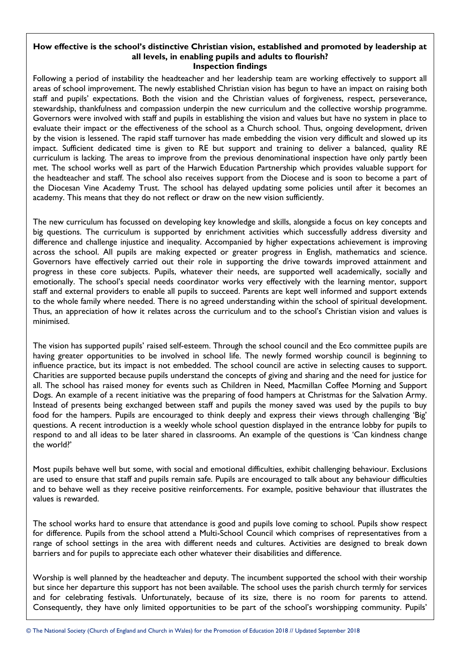#### **How effective is the school's distinctive Christian vision, established and promoted by leadership at all levels, in enabling pupils and adults to flourish? Inspection findings**

Following a period of instability the headteacher and her leadership team are working effectively to support all areas of school improvement. The newly established Christian vision has begun to have an impact on raising both staff and pupils' expectations. Both the vision and the Christian values of forgiveness, respect, perseverance, stewardship, thankfulness and compassion underpin the new curriculum and the collective worship programme. Governors were involved with staff and pupils in establishing the vision and values but have no system in place to evaluate their impact or the effectiveness of the school as a Church school. Thus, ongoing development, driven by the vision is lessened. The rapid staff turnover has made embedding the vision very difficult and slowed up its impact. Sufficient dedicated time is given to RE but support and training to deliver a balanced, quality RE curriculum is lacking. The areas to improve from the previous denominational inspection have only partly been met. The school works well as part of the Harwich Education Partnership which provides valuable support for the headteacher and staff. The school also receives support from the Diocese and is soon to become a part of the Diocesan Vine Academy Trust. The school has delayed updating some policies until after it becomes an academy. This means that they do not reflect or draw on the new vision sufficiently.

The new curriculum has focussed on developing key knowledge and skills, alongside a focus on key concepts and big questions. The curriculum is supported by enrichment activities which successfully address diversity and difference and challenge injustice and inequality. Accompanied by higher expectations achievement is improving across the school. All pupils are making expected or greater progress in English, mathematics and science. Governors have effectively carried out their role in supporting the drive towards improved attainment and progress in these core subjects. Pupils, whatever their needs, are supported well academically, socially and emotionally. The school's special needs coordinator works very effectively with the learning mentor, support staff and external providers to enable all pupils to succeed. Parents are kept well informed and support extends to the whole family where needed. There is no agreed understanding within the school of spiritual development. Thus, an appreciation of how it relates across the curriculum and to the school's Christian vision and values is minimised.

The vision has supported pupils' raised self-esteem. Through the school council and the Eco committee pupils are having greater opportunities to be involved in school life. The newly formed worship council is beginning to influence practice, but its impact is not embedded. The school council are active in selecting causes to support. Charities are supported because pupils understand the concepts of giving and sharing and the need for justice for all. The school has raised money for events such as Children in Need, Macmillan Coffee Morning and Support Dogs. An example of a recent initiative was the preparing of food hampers at Christmas for the Salvation Army. Instead of presents being exchanged between staff and pupils the money saved was used by the pupils to buy food for the hampers. Pupils are encouraged to think deeply and express their views through challenging 'Big' questions. A recent introduction is a weekly whole school question displayed in the entrance lobby for pupils to respond to and all ideas to be later shared in classrooms. An example of the questions is 'Can kindness change the world?'

Most pupils behave well but some, with social and emotional difficulties, exhibit challenging behaviour. Exclusions are used to ensure that staff and pupils remain safe. Pupils are encouraged to talk about any behaviour difficulties and to behave well as they receive positive reinforcements. For example, positive behaviour that illustrates the values is rewarded.

The school works hard to ensure that attendance is good and pupils love coming to school. Pupils show respect for difference. Pupils from the school attend a Multi-School Council which comprises of representatives from a range of school settings in the area with different needs and cultures. Activities are designed to break down barriers and for pupils to appreciate each other whatever their disabilities and difference.

Worship is well planned by the headteacher and deputy. The incumbent supported the school with their worship but since her departure this support has not been available. The school uses the parish church termly for services and for celebrating festivals. Unfortunately, because of its size, there is no room for parents to attend. Consequently, they have only limited opportunities to be part of the school's worshipping community. Pupils'